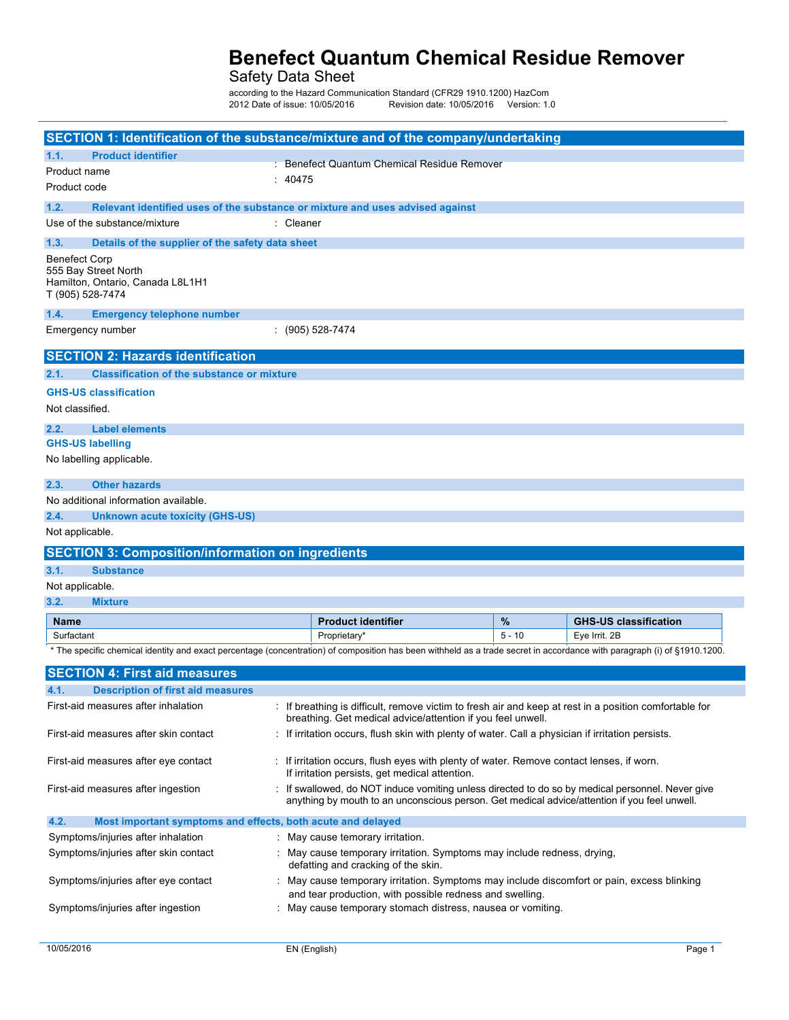Safety Data Sheet

according to the Hazard Communication Standard (CFR29 1910.1200) HD&RP:0,6 Date of issue: /20/201 Revision date: 03/20/2018 Version: 1.0

|                                          | SECTION 1: Identification of the substance/mixture and of the company/undertaking                                                                                        |           |                                                                                                                                                                                                  |          |                              |
|------------------------------------------|--------------------------------------------------------------------------------------------------------------------------------------------------------------------------|-----------|--------------------------------------------------------------------------------------------------------------------------------------------------------------------------------------------------|----------|------------------------------|
| 1.1.<br>Product name<br>Product code     | <b>Product identifier</b>                                                                                                                                                | : 40475   | : Benefect Quantum Chemical Residue Remover                                                                                                                                                      |          |                              |
| 1.2.                                     | Relevant identified uses of the substance or mixture and uses advised against                                                                                            |           |                                                                                                                                                                                                  |          |                              |
|                                          | Use of the substance/mixture                                                                                                                                             | : Cleaner |                                                                                                                                                                                                  |          |                              |
| 1.3.                                     | Details of the supplier of the safety data sheet                                                                                                                         |           |                                                                                                                                                                                                  |          |                              |
| <b>Benefect Corp</b><br>T (905) 528-7474 | 555 Bay Street North<br>Hamilton, Ontario, Canada L8L1H1                                                                                                                 |           |                                                                                                                                                                                                  |          |                              |
| 1.4.                                     | <b>Emergency telephone number</b>                                                                                                                                        |           |                                                                                                                                                                                                  |          |                              |
|                                          | Emergency number                                                                                                                                                         |           | $\colon$ (905) 528-7474                                                                                                                                                                          |          |                              |
|                                          | <b>SECTION 2: Hazards identification</b>                                                                                                                                 |           |                                                                                                                                                                                                  |          |                              |
| 2.1.                                     | <b>Classification of the substance or mixture</b>                                                                                                                        |           |                                                                                                                                                                                                  |          |                              |
| Not classified.                          | <b>GHS-US classification</b>                                                                                                                                             |           |                                                                                                                                                                                                  |          |                              |
| 2.2.                                     | <b>Label elements</b>                                                                                                                                                    |           |                                                                                                                                                                                                  |          |                              |
| <b>GHS-US labelling</b>                  | No labelling applicable.                                                                                                                                                 |           |                                                                                                                                                                                                  |          |                              |
| 2.3.                                     | <b>Other hazards</b>                                                                                                                                                     |           |                                                                                                                                                                                                  |          |                              |
|                                          | No additional information available.                                                                                                                                     |           |                                                                                                                                                                                                  |          |                              |
| 2.4.                                     | <b>Unknown acute toxicity (GHS-US)</b>                                                                                                                                   |           |                                                                                                                                                                                                  |          |                              |
| Not applicable.                          |                                                                                                                                                                          |           |                                                                                                                                                                                                  |          |                              |
|                                          | <b>SECTION 3: Composition/information on ingredients</b>                                                                                                                 |           |                                                                                                                                                                                                  |          |                              |
| 3.1.                                     | <b>Substance</b>                                                                                                                                                         |           |                                                                                                                                                                                                  |          |                              |
| Not applicable.                          |                                                                                                                                                                          |           |                                                                                                                                                                                                  |          |                              |
| 3.2.                                     | <b>Mixture</b>                                                                                                                                                           |           |                                                                                                                                                                                                  |          |                              |
| <b>Name</b>                              |                                                                                                                                                                          |           | <b>Product identifier</b>                                                                                                                                                                        | %        | <b>GHS-US classification</b> |
| Surfactant                               |                                                                                                                                                                          |           | Proprietary                                                                                                                                                                                      | $5 - 10$ | Eye Irrit. 2B                |
|                                          | * The specific chemical identity and exact percentage (concentration) of composition has been withheld as a trade secret in accordance with paragraph (i) of §1910.1200. |           |                                                                                                                                                                                                  |          |                              |
|                                          | <b>SECTION 4: First aid measures</b>                                                                                                                                     |           |                                                                                                                                                                                                  |          |                              |
| 4.1.                                     | <b>Description of first aid measures</b>                                                                                                                                 |           |                                                                                                                                                                                                  |          |                              |
|                                          | First-aid measures after inhalation                                                                                                                                      |           | If breathing is difficult, remove victim to fresh air and keep at rest in a position comfortable for<br>breathing. Get medical advice/attention if you feel unwell.                              |          |                              |
|                                          | First-aid measures after skin contact                                                                                                                                    |           | : If irritation occurs, flush skin with plenty of water. Call a physician if irritation persists.                                                                                                |          |                              |
|                                          | First-aid measures after eye contact                                                                                                                                     |           | : If irritation occurs, flush eyes with plenty of water. Remove contact lenses, if worn.<br>If irritation persists, get medical attention.                                                       |          |                              |
|                                          | First-aid measures after ingestion                                                                                                                                       |           | : If swallowed, do NOT induce vomiting unless directed to do so by medical personnel. Never give<br>anything by mouth to an unconscious person. Get medical advice/attention if you feel unwell. |          |                              |
| 4.2.                                     | Most important symptoms and effects, both acute and delayed                                                                                                              |           |                                                                                                                                                                                                  |          |                              |
|                                          | Symptoms/injuries after inhalation                                                                                                                                       |           | : May cause temorary irritation.                                                                                                                                                                 |          |                              |
|                                          | Symptoms/injuries after skin contact                                                                                                                                     |           | May cause temporary irritation. Symptoms may include redness, drying,<br>defatting and cracking of the skin.                                                                                     |          |                              |
|                                          | Symptoms/injuries after eye contact                                                                                                                                      |           | May cause temporary irritation. Symptoms may include discomfort or pain, excess blinking<br>and tear production, with possible redness and swelling.                                             |          |                              |
|                                          | Symptoms/injuries after ingestion                                                                                                                                        |           | May cause temporary stomach distress, nausea or vomiting.                                                                                                                                        |          |                              |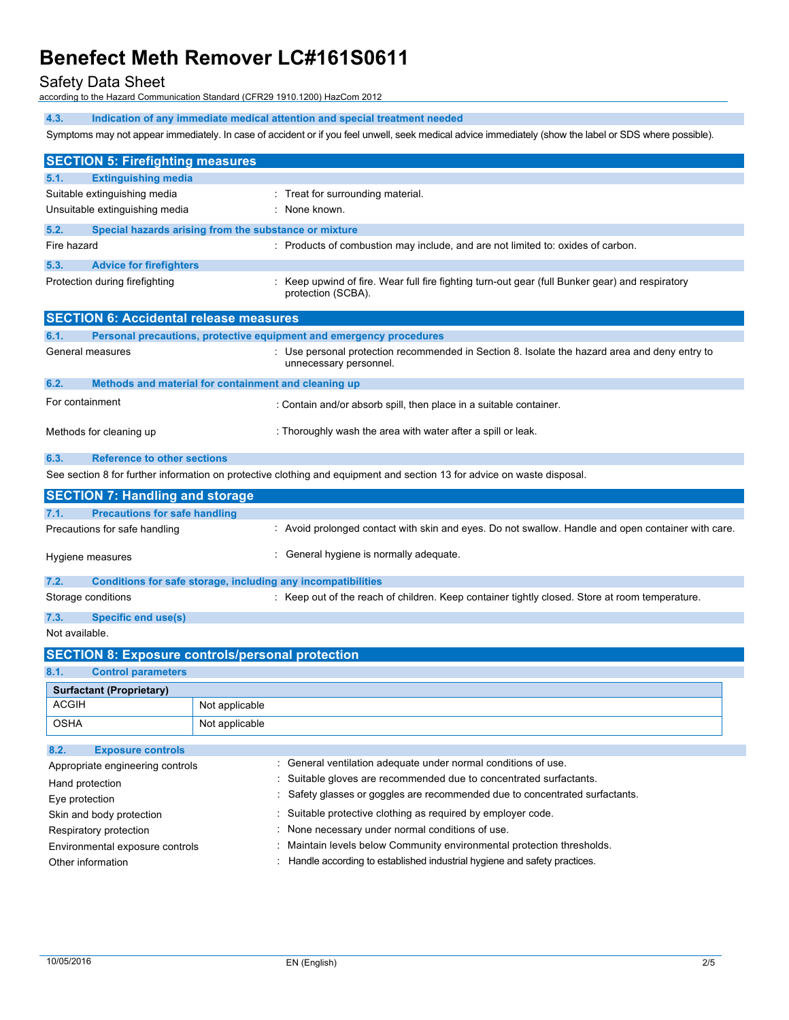Safety Data Sheet

according to the Hazard Communication Standard (CFR29 1910.1200) HazCom 2012 WHMIS 2015

**4.3. Indication of any immediate medical attention and special treatment needed**

Symptoms may not appear immediately. In case of accident or if you feel unwell, seek medical advice immediately (show the label or SDS where possible).

| <b>SECTION 5: Firefighting measures</b>       |                                                                                                                         |  |
|-----------------------------------------------|-------------------------------------------------------------------------------------------------------------------------|--|
| <b>Extinguishing media</b><br>5.1.            |                                                                                                                         |  |
| Suitable extinguishing media                  | : Treat for surrounding material.                                                                                       |  |
| Unsuitable extinguishing media                | : None known.                                                                                                           |  |
| 5.2.                                          | Special hazards arising from the substance or mixture                                                                   |  |
| Fire hazard                                   | Products of combustion may include, and are not limited to: oxides of carbon.                                           |  |
|                                               |                                                                                                                         |  |
| 5.3.<br><b>Advice for firefighters</b>        |                                                                                                                         |  |
| Protection during firefighting                | Keep upwind of fire. Wear full fire fighting turn-out gear (full Bunker gear) and respiratory<br>protection (SCBA).     |  |
| <b>SECTION 6: Accidental release measures</b> |                                                                                                                         |  |
| 6.1.                                          | Personal precautions, protective equipment and emergency procedures                                                     |  |
| General measures                              | : Use personal protection recommended in Section 8. Isolate the hazard area and deny entry to<br>unnecessary personnel. |  |
| 6.2.                                          | Methods and material for containment and cleaning up                                                                    |  |
| For containment                               | : Contain and/or absorb spill, then place in a suitable container.                                                      |  |
| Methods for cleaning up                       | : Thoroughly wash the area with water after a spill or leak.                                                            |  |
| <b>Reference to other sections</b><br>6.3.    |                                                                                                                         |  |
|                                               | See section 8 for further information on protective clothing and equipment and section 13 for advice on waste disposal. |  |
| <b>SECTION 7: Handling and storage</b>        |                                                                                                                         |  |
| <b>Precautions for safe handling</b><br>7.1.  |                                                                                                                         |  |
| Precautions for safe handling                 | : Avoid prolonged contact with skin and eyes. Do not swallow. Handle and open container with care.                      |  |
| Hygiene measures                              | : General hygiene is normally adequate.                                                                                 |  |
| 7.2.                                          | Conditions for safe storage, including any incompatibilities                                                            |  |
| Storage conditions                            | : Keep out of the reach of children. Keep container tightly closed. Store at room temperature.                          |  |
|                                               |                                                                                                                         |  |
| <b>Specific end use(s)</b><br>7.3.            |                                                                                                                         |  |
| Not available.                                |                                                                                                                         |  |
|                                               | <b>SECTION 8: Exposure controls/personal protection</b>                                                                 |  |
| 8.1.<br><b>Control parameters</b>             |                                                                                                                         |  |
| <b>Surfactant (Proprietary)</b>               |                                                                                                                         |  |
| <b>ACGIH</b>                                  | Not applicable                                                                                                          |  |
| <b>OSHA</b>                                   | Not applicable                                                                                                          |  |
| 8.2.<br><b>Exposure controls</b>              |                                                                                                                         |  |
| Appropriate engineering controls              | : No special precautions.                                                                                               |  |
| Hand protection                               | None necessary under normal conditions of use.                                                                          |  |
| Eye protection                                | None necessary under normal conditions of use.                                                                          |  |
| Skin and body protection                      | None necessary under normal conditions of use.                                                                          |  |
| Respiratory protection                        | None necessary under normal conditions of use.                                                                          |  |
| Environmental exposure controls               | Maintain levels below Community environmental protection thresholds.                                                    |  |
| Other information                             | Handle according to established industrial hygiene and safety practices.                                                |  |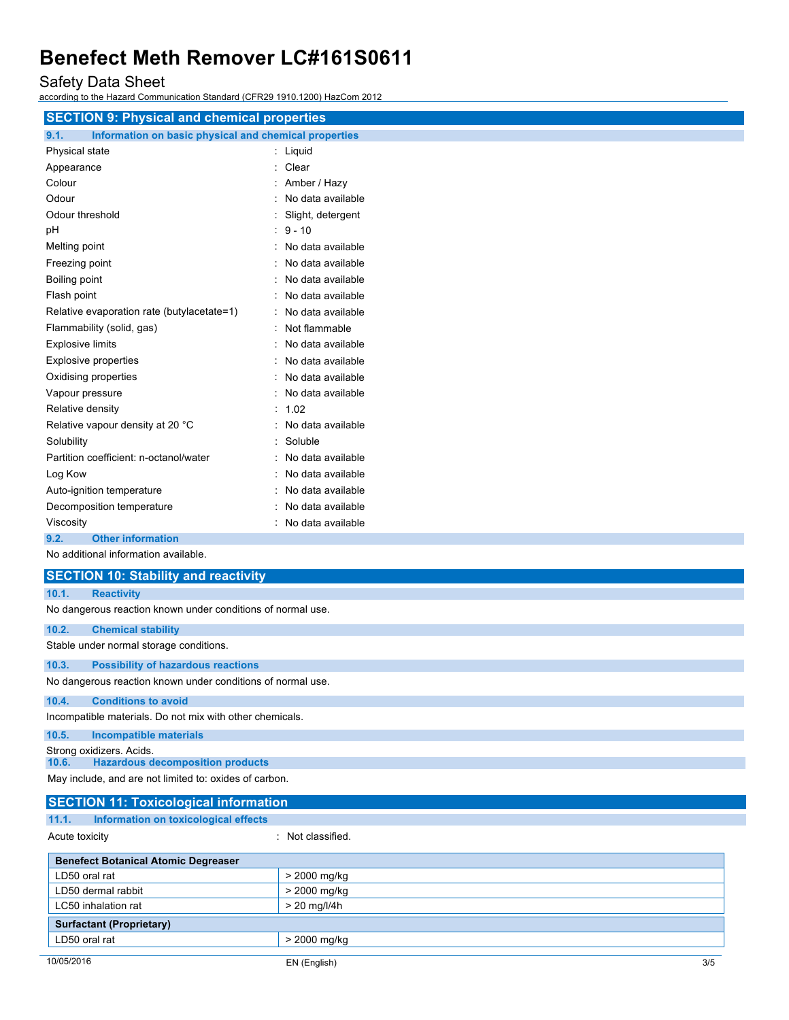Safety Data Sheet

according to the Hazard Communication Standard (CFR29 1910.1200) HazCom 2012 WHMIS 2015

| <b>SECTION 9: Physical and chemical properties</b>            |                     |
|---------------------------------------------------------------|---------------------|
| Information on basic physical and chemical properties<br>9.1. |                     |
| Physical state                                                | : Liquid            |
| Appearance                                                    | : Clear             |
| Colour                                                        | : Amber / Hazy      |
| Odour                                                         | No data available   |
| Odour threshold                                               | Slight, detergent   |
| pH                                                            | $: 9 - 10$          |
| Melting point                                                 | : No data available |
| Freezing point                                                | : No data available |
| Boiling point                                                 | : No data available |
| Flash point                                                   | : No data available |
| Relative evaporation rate (butylacetate=1)                    | : No data available |
| Flammability (solid, gas)                                     | : Not flammable     |
| <b>Explosive limits</b>                                       | : No data available |
| <b>Explosive properties</b>                                   | : No data available |
| Oxidising properties                                          | : No data available |
| Vapour pressure                                               | : No data available |
| Relative density                                              | : 1.02              |
| Relative vapour density at 20 °C                              | : No data available |
| Solubility                                                    | Soluble             |
| Partition coefficient: n-octanol/water                        | No data available   |
| Log Kow                                                       | No data available   |
| Auto-ignition temperature                                     | No data available   |
| Decomposition temperature                                     | No data available   |
| Viscosity                                                     | No data available   |
| <b>Other information</b><br>9.2.                              |                     |
| No additional information available.                          |                     |
| <b>SECTION 10: Stability and reactivity</b>                   |                     |

| 40.4 | <b>Donativity</b> |  |
|------|-------------------|--|

| 10.1. | <b>Reactivity</b>                                           |
|-------|-------------------------------------------------------------|
|       | No dangerous reaction known under conditions of normal use. |
| 10.2. | <b>Chemical stability</b>                                   |
|       | Stable under normal storage conditions.                     |
| 10.3. | <b>Possibility of hazardous reactions</b>                   |
|       | No dangerous reaction known under conditions of normal use. |
| 10.4. | <b>Conditions to avoid</b>                                  |
|       | Incompatible materials. Do not mix with other chemicals.    |
| 10.5. | <b>Incompatible materials</b>                               |
|       | Strong oxidizers. Acids.                                    |
| 10.6. | <b>Hazardous decomposition products</b>                     |
|       | May include, and are not limited to: oxides of carbon.      |

|                | <b>SECTION 11: Toxicological information</b> |                 |
|----------------|----------------------------------------------|-----------------|
| 11.1.          | Information on toxicological effects         |                 |
| Acute toxicity |                                              | Not classified. |
|                | <b>Surfactant (Proprietary)</b>              |                 |
| LD50 oral rat  |                                              | > 2000 mg/kg    |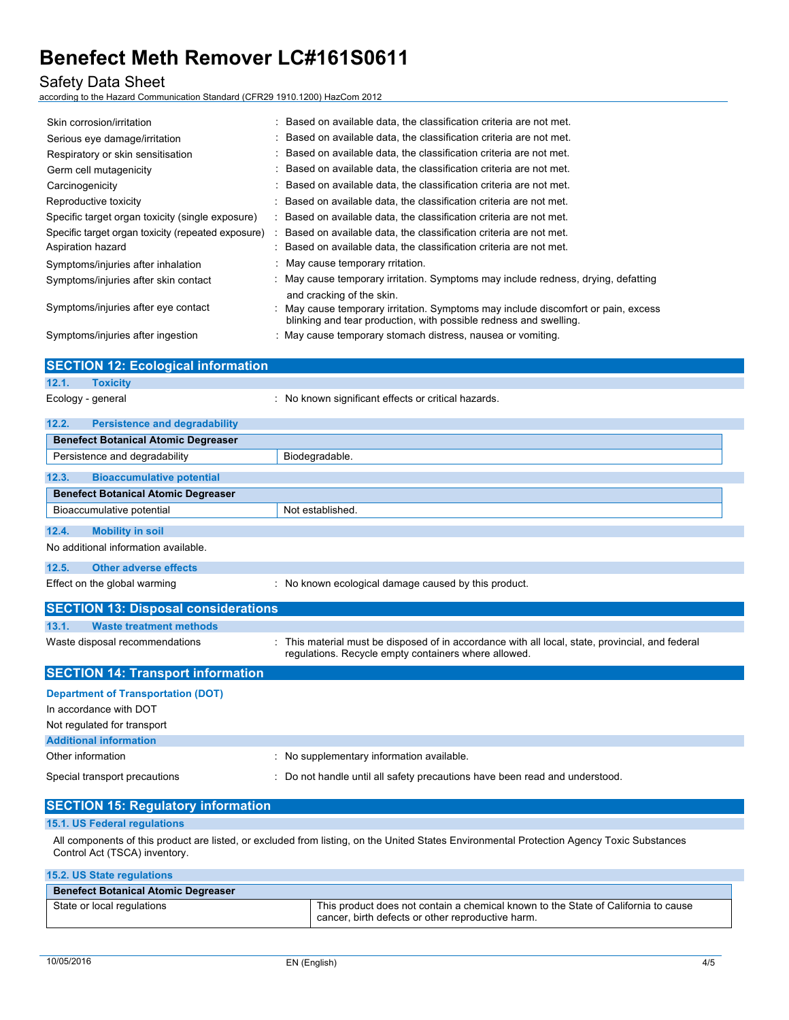#### Safety Data Sheet

according to the Hazard Communication Standard (CFR29 1910.1200) HazCom 2012 WHMIS 2015

| Skin corrosion/irritation                          | : Based on available data, the classification criteria are not met.                                                                                    |
|----------------------------------------------------|--------------------------------------------------------------------------------------------------------------------------------------------------------|
| Serious eye damage/irritation                      | : Based on available data, the classification criteria are not met.                                                                                    |
| Respiratory or skin sensitisation                  | : Based on available data, the classification criteria are not met.                                                                                    |
| Germ cell mutagenicity                             | : Based on available data, the classification criteria are not met.                                                                                    |
| Carcinogenicity                                    | : Based on available data, the classification criteria are not met.                                                                                    |
| Reproductive toxicity                              | : Based on available data, the classification criteria are not met.                                                                                    |
| Specific target organ toxicity (single exposure)   | : Based on available data, the classification criteria are not met.                                                                                    |
| Specific target organ toxicity (repeated exposure) | : Based on available data, the classification criteria are not met.                                                                                    |
| Aspiration hazard                                  | : Based on available data, the classification criteria are not met.                                                                                    |
| Symptoms/injuries after inhalation                 | : May cause temporary rritation.                                                                                                                       |
| Symptoms/injuries after skin contact               | : May cause temporary irritation. Symptoms may include redness, drying, defatting                                                                      |
|                                                    | and cracking of the skin.                                                                                                                              |
| Symptoms/injuries after eye contact                | : May cause temporary irritation. Symptoms may include discomfort or pain, excess<br>blinking and tear production, with possible redness and swelling. |
| Symptoms/injuries after ingestion                  | : May cause temporary stomach distress, nausea or vomiting.                                                                                            |

| <b>SECTION 12: Ecological information</b>     |                                                                                                                                                          |
|-----------------------------------------------|----------------------------------------------------------------------------------------------------------------------------------------------------------|
| 12.1.<br><b>Toxicity</b>                      |                                                                                                                                                          |
| Ecology - general                             | : No known significant effects or critical hazards.                                                                                                      |
| 12.2.<br><b>Persistence and degradability</b> |                                                                                                                                                          |
| <b>Benefect Botanical Atomic Degreaser</b>    |                                                                                                                                                          |
| Persistence and degradability                 | Biodegradable.                                                                                                                                           |
| 12.3.<br><b>Bioaccumulative potential</b>     |                                                                                                                                                          |
| <b>Benefect Botanical Atomic Degreaser</b>    |                                                                                                                                                          |
| Bioaccumulative potential                     | Not established.                                                                                                                                         |
| 12.4.<br><b>Mobility in soil</b>              |                                                                                                                                                          |
| No additional information available.          |                                                                                                                                                          |
| Other adverse effects<br>12.5.                |                                                                                                                                                          |
| Effect on the global warming                  | : No known ecological damage caused by this product.                                                                                                     |
| <b>SECTION 13: Disposal considerations</b>    |                                                                                                                                                          |
| <b>Waste treatment methods</b><br>13.1.       |                                                                                                                                                          |
| Waste disposal recommendations                | : This material must be disposed of in accordance with all local, state, provincial, and federal<br>regulations. Recycle empty containers where allowed. |
| <b>SECTION 14: Transport information</b>      |                                                                                                                                                          |
| <b>Department of Transportation (DOT)</b>     |                                                                                                                                                          |
| In accordance with DOT                        |                                                                                                                                                          |
| Not regulated for transport                   |                                                                                                                                                          |
| <b>Additional information</b>                 |                                                                                                                                                          |
| Other information                             | : No supplementary information available.                                                                                                                |
| Special transport precautions                 | : Do not handle until all safety precautions have been read and understood.                                                                              |

| <b>SECTION 15: Regulatory information</b>                                                                                                                                   |  |
|-----------------------------------------------------------------------------------------------------------------------------------------------------------------------------|--|
| 15.1. US Federal regulations                                                                                                                                                |  |
| All components of this product are listed, or excluded from listing, on the United States Environmental Protection Agency Toxic Substances<br>Control Act (TSCA) inventory. |  |

| <b>15.2. US State regulations</b>          |                                                                                                                                         |
|--------------------------------------------|-----------------------------------------------------------------------------------------------------------------------------------------|
| <b>Benefect Botanical Atomic Degreaser</b> |                                                                                                                                         |
| State or local regulations                 | This product does not contain a chemical known to the State of California to cause<br>cancer, birth defects or other reproductive harm. |